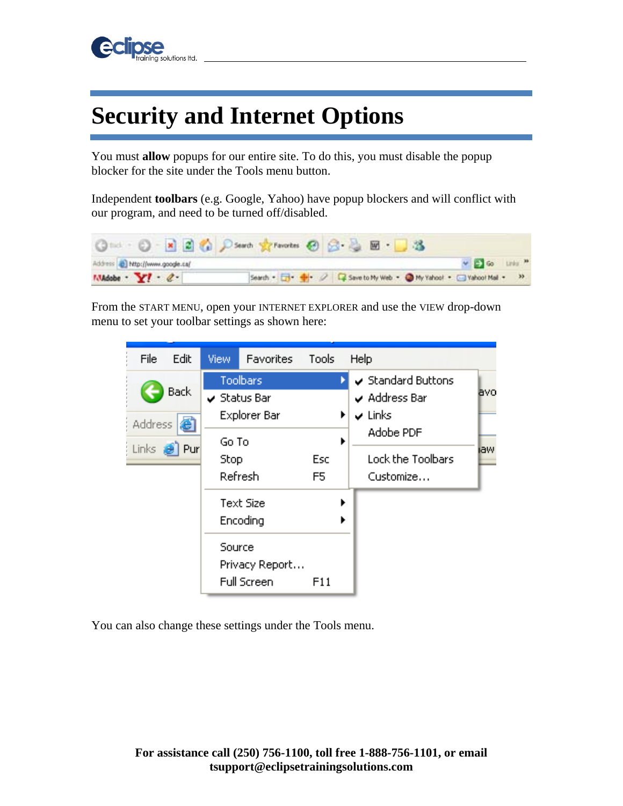

## **Security and Internet Options**

You must **allow** popups for our entire site. To do this, you must disable the popup blocker for the site under the Tools menu button.

Independent **toolbars** (e.g. Google, Yahoo) have popup blockers and will conflict with our program, and need to be turned off/disabled.



From the START MENU, open your INTERNET EXPLORER and use the VIEW drop-down menu to set your toolbar settings as shown here:

| File                   | Edit                                | View                            | Favorites                                           | Tools     |        | Help                                                                          |      |
|------------------------|-------------------------------------|---------------------------------|-----------------------------------------------------|-----------|--------|-------------------------------------------------------------------------------|------|
|                        | <b>Back</b><br>ēî<br><b>Address</b> |                                 | Toolbars<br>$\checkmark$ Status Bar<br>Explorer Bar |           | ▶<br>▶ | Standard Buttons<br>$\sqrt{ }$ Address Bar<br>$\checkmark$ Links<br>Adobe PDF | avo  |
| Links <b>&amp; Pur</b> |                                     | Go To<br><b>Stop</b><br>Refresh |                                                     | Esc<br>F5 |        | Lock the Toolbars<br>Customize                                                | iaw. |
|                        |                                     |                                 | Text Size<br>Encoding                               |           | ▶<br>▶ |                                                                               |      |
|                        |                                     | Source                          | Privacy Report<br>Full Screen                       | F11       |        |                                                                               |      |

You can also change these settings under the Tools menu.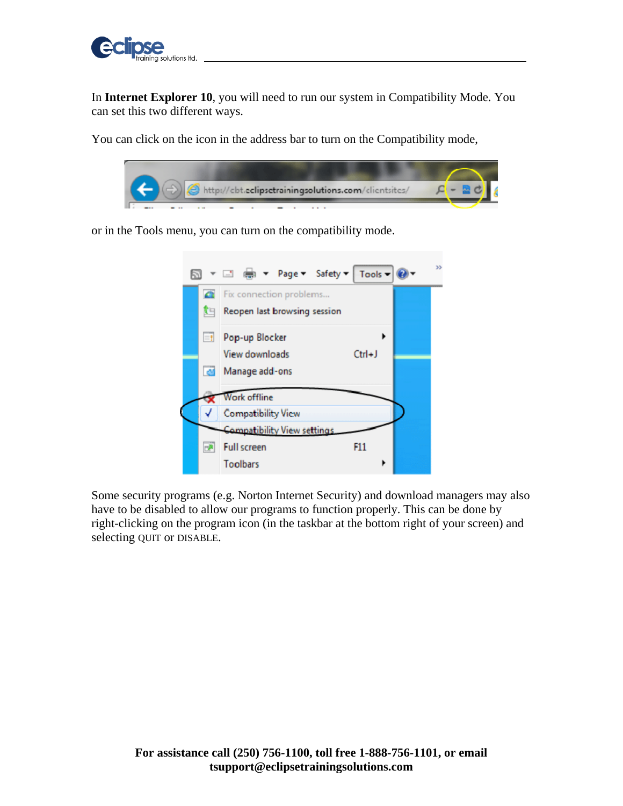

In **Internet Explorer 10**, you will need to run our system in Compatibility Mode. You can set this two different ways.

You can click on the icon in the address bar to turn on the Compatibility mode,



or in the Tools menu, you can turn on the compatibility mode.



Some security programs (e.g. Norton Internet Security) and download managers may also have to be disabled to allow our programs to function properly. This can be done by right-clicking on the program icon (in the taskbar at the bottom right of your screen) and selecting QUIT or DISABLE.